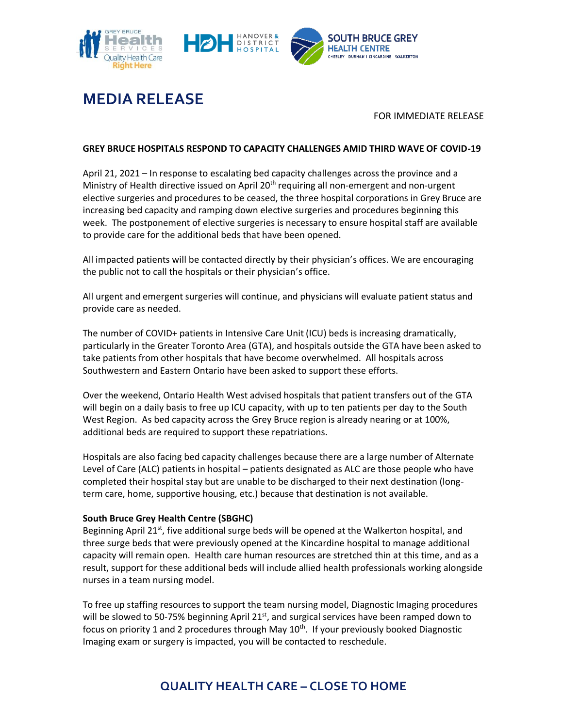



# **MEDIA RELEASE**

### FOR IMMEDIATE RELEASE

### **GREY BRUCE HOSPITALS RESPOND TO CAPACITY CHALLENGES AMID THIRD WAVE OF COVID-19**

April 21, 2021 – In response to escalating bed capacity challenges across the province and a Ministry of Health directive issued on April 20<sup>th</sup> requiring all non-emergent and non-urgent elective surgeries and procedures to be ceased, the three hospital corporations in Grey Bruce are increasing bed capacity and ramping down elective surgeries and procedures beginning this week. The postponement of elective surgeries is necessary to ensure hospital staff are available to provide care for the additional beds that have been opened.

All impacted patients will be contacted directly by their physician's offices. We are encouraging the public not to call the hospitals or their physician's office.

All urgent and emergent surgeries will continue, and physicians will evaluate patient status and provide care as needed.

The number of COVID+ patients in Intensive Care Unit (ICU) beds is increasing dramatically, particularly in the Greater Toronto Area (GTA), and hospitals outside the GTA have been asked to take patients from other hospitals that have become overwhelmed. All hospitals across Southwestern and Eastern Ontario have been asked to support these efforts.

Over the weekend, Ontario Health West advised hospitals that patient transfers out of the GTA will begin on a daily basis to free up ICU capacity, with up to ten patients per day to the South West Region. As bed capacity across the Grey Bruce region is already nearing or at 100%, additional beds are required to support these repatriations.

Hospitals are also facing bed capacity challenges because there are a large number of Alternate Level of Care (ALC) patients in hospital – patients designated as ALC are those people who have completed their hospital stay but are unable to be discharged to their next destination (longterm care, home, supportive housing, etc.) because that destination is not available.

### **South Bruce Grey Health Centre (SBGHC)**

Beginning April 21<sup>st</sup>, five additional surge beds will be opened at the Walkerton hospital, and three surge beds that were previously opened at the Kincardine hospital to manage additional capacity will remain open. Health care human resources are stretched thin at this time, and as a result, support for these additional beds will include allied health professionals working alongside nurses in a team nursing model.

To free up staffing resources to support the team nursing model, Diagnostic Imaging procedures will be slowed to 50-75% beginning April  $21<sup>st</sup>$ , and surgical services have been ramped down to focus on priority 1 and 2 procedures through May  $10^{\text{th}}$ . If your previously booked Diagnostic Imaging exam or surgery is impacted, you will be contacted to reschedule.

## **QUALITY HEALTH CARE – CLOSE TO HOME**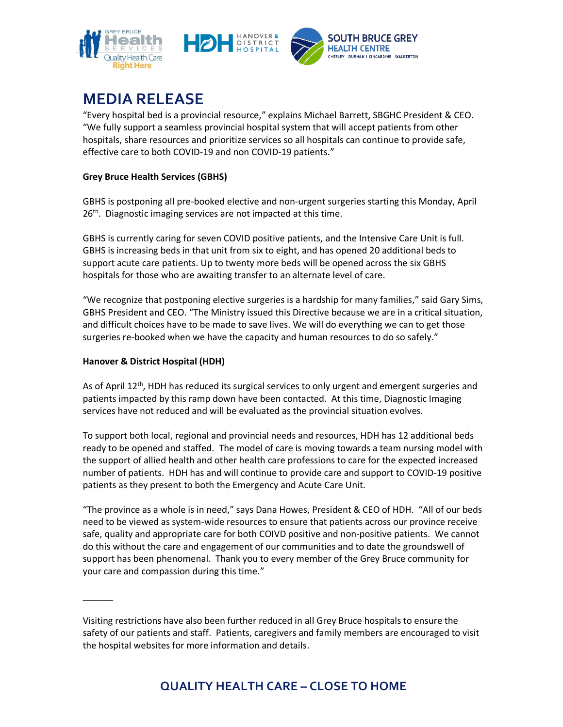



# **MEDIA RELEASE**

"Every hospital bed is a provincial resource," explains Michael Barrett, SBGHC President & CEO. "We fully support a seamless provincial hospital system that will accept patients from other hospitals, share resources and prioritize services so all hospitals can continue to provide safe, effective care to both COVID-19 and non COVID-19 patients."

## **Grey Bruce Health Services (GBHS)**

GBHS is postponing all pre-booked elective and non-urgent surgeries starting this Monday, April 26<sup>th</sup>. Diagnostic imaging services are not impacted at this time.

GBHS is currently caring for seven COVID positive patients, and the Intensive Care Unit is full. GBHS is increasing beds in that unit from six to eight, and has opened 20 additional beds to support acute care patients. Up to twenty more beds will be opened across the six GBHS hospitals for those who are awaiting transfer to an alternate level of care.

"We recognize that postponing elective surgeries is a hardship for many families," said Gary Sims, GBHS President and CEO. "The Ministry issued this Directive because we are in a critical situation, and difficult choices have to be made to save lives. We will do everything we can to get those surgeries re-booked when we have the capacity and human resources to do so safely."

## **Hanover & District Hospital (HDH)**

 $\overline{\phantom{a}}$ 

As of April  $12<sup>th</sup>$ , HDH has reduced its surgical services to only urgent and emergent surgeries and patients impacted by this ramp down have been contacted. At this time, Diagnostic Imaging services have not reduced and will be evaluated as the provincial situation evolves.

To support both local, regional and provincial needs and resources, HDH has 12 additional beds ready to be opened and staffed. The model of care is moving towards a team nursing model with the support of allied health and other health care professions to care for the expected increased number of patients. HDH has and will continue to provide care and support to COVID-19 positive patients as they present to both the Emergency and Acute Care Unit.

"The province as a whole is in need," says Dana Howes, President & CEO of HDH. "All of our beds need to be viewed as system-wide resources to ensure that patients across our province receive safe, quality and appropriate care for both COIVD positive and non-positive patients. We cannot do this without the care and engagement of our communities and to date the groundswell of support has been phenomenal. Thank you to every member of the Grey Bruce community for your care and compassion during this time."

Visiting restrictions have also been further reduced in all Grey Bruce hospitals to ensure the safety of our patients and staff. Patients, caregivers and family members are encouraged to visit the hospital websites for more information and details.